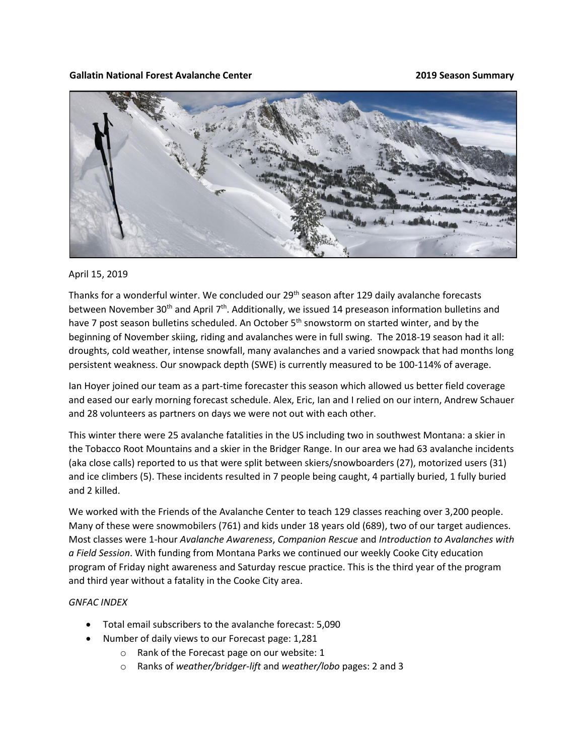## **Gallatin National Forest Avalanche Center 2019 Season Summary**



## April 15, 2019

Thanks for a wonderful winter. We concluded our 29<sup>th</sup> season after 129 daily avalanche forecasts between November 30<sup>th</sup> and April 7<sup>th</sup>. Additionally, we issued 14 preseason information bulletins and have 7 post season bulletins scheduled. An October 5<sup>th</sup> snowstorm on started winter, and by the beginning of November skiing, riding and avalanches were in full swing. The 2018-19 season had it all: droughts, cold weather, intense snowfall, many avalanches and a varied snowpack that had months long persistent weakness. Our snowpack depth (SWE) is currently measured to be 100-114% of average.

Ian Hoyer joined our team as a part-time forecaster this season which allowed us better field coverage and eased our early morning forecast schedule. Alex, Eric, Ian and I relied on our intern, Andrew Schauer and 28 volunteers as partners on days we were not out with each other.

This winter there were 25 avalanche fatalities in the US including two in southwest Montana: a skier in the Tobacco Root Mountains and a skier in the Bridger Range. In our area we had 63 avalanche incidents (aka close calls) reported to us that were split between skiers/snowboarders (27), motorized users (31) and ice climbers (5). These incidents resulted in 7 people being caught, 4 partially buried, 1 fully buried and 2 killed.

We worked with the Friends of the Avalanche Center to teach 129 classes reaching over 3,200 people. Many of these were snowmobilers (761) and kids under 18 years old (689), two of our target audiences. Most classes were 1-hour *Avalanche Awareness*, *Companion Rescue* and *Introduction to Avalanches with a Field Session*. With funding from Montana Parks we continued our weekly Cooke City education program of Friday night awareness and Saturday rescue practice. This is the third year of the program and third year without a fatality in the Cooke City area.

## *GNFAC INDEX*

- Total email subscribers to the avalanche forecast: 5,090
- Number of daily views to our Forecast page: 1,281
	- o Rank of the Forecast page on our website: 1
	- o Ranks of *weather/bridger-lift* and *weather/lobo* pages: 2 and 3